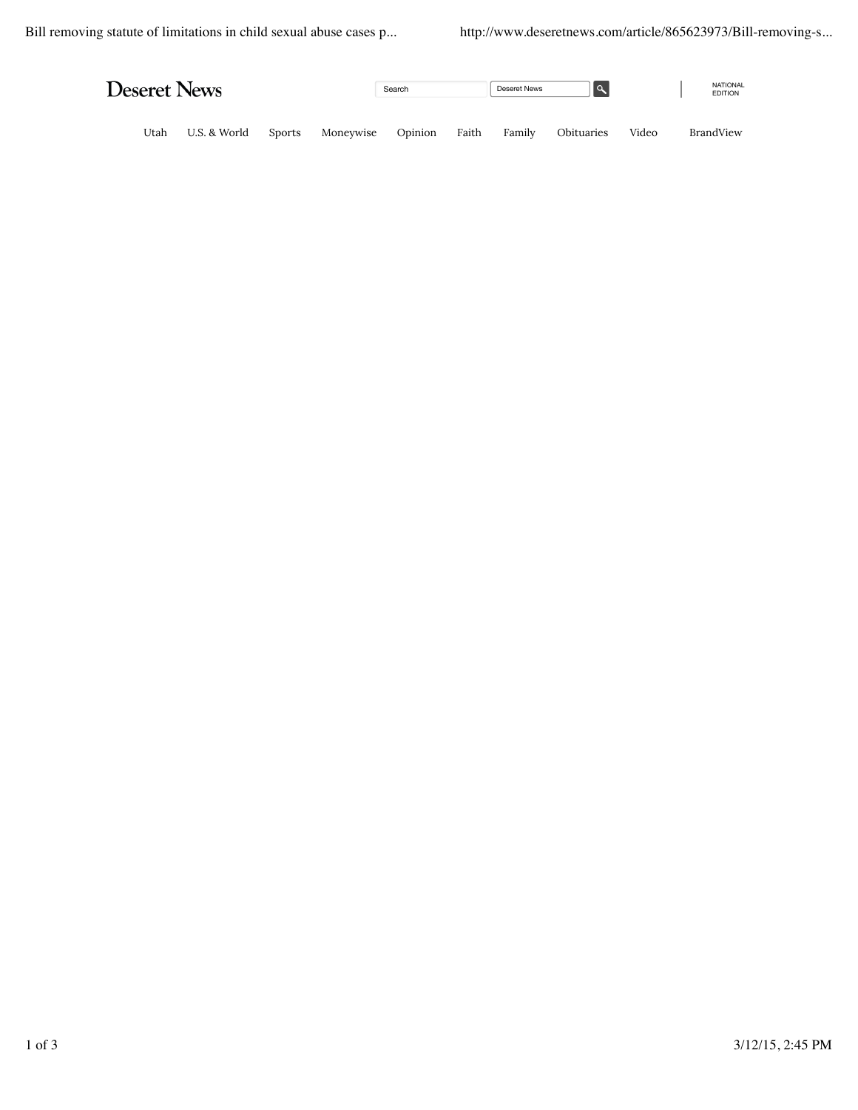| <b>Deseret News</b> |              |               |           | Search  |       | Deseret News |            |       | <b>NATIONAL</b><br><b>EDITION</b> |
|---------------------|--------------|---------------|-----------|---------|-------|--------------|------------|-------|-----------------------------------|
| Utah                | U.S. & World | <b>Sports</b> | Moneywise | Opinion | Faith | Family       | Obituaries | Video | BrandView                         |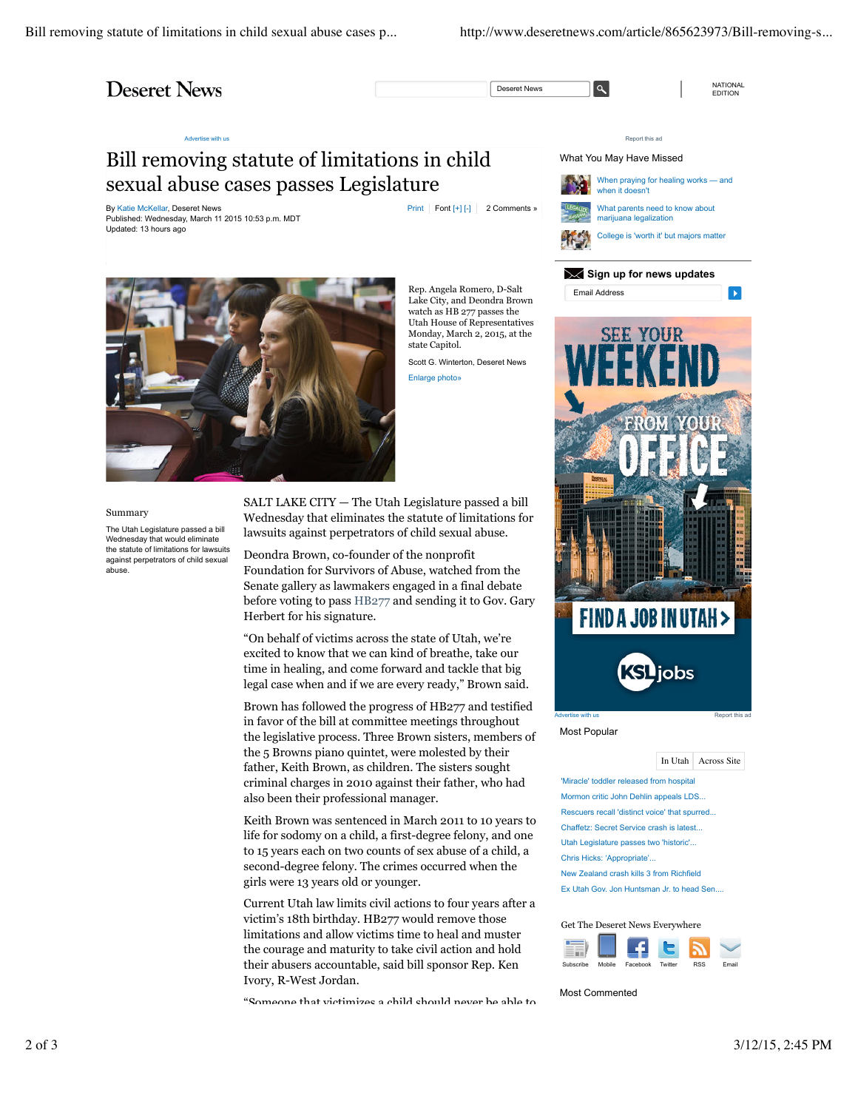Bill removing statute of limitations in child sexual abuse cases p... http://www.deseretnews.com/article/865623973/Bill-removing-s...

## **Deseret News**

Deseret News **Q** 

NATIONAL<br>EDITION

## Advertise with us Report this advertise with us Report this advertise with us Report this advertise with us Report this advertise with us Report this advertise with us Report this advertise with us Report this advertise wi

## Bill removing statute of limitations in child sexual abuse cases passes Legislature

By Katie McKellar, Deseret News **Print Font [+]** [-] 2 Comments » Published: Wednesday, March 11 2015 10:53 p.m. MDT Updated: 13 hours ago

watch as HB 277 passes the Utah House of Representatives



Summary

The Utah Legislature passed a bill Wednesday that would eliminate the statute of limitations for lawsuits against perpetrators of child sexual abuse.

SALT LAKE CITY — The Utah Legislature passed a bill Wednesday that eliminates the statute of limitations for lawsuits against perpetrators of child sexual abuse.

Deondra Brown, co-founder of the nonprofit Foundation for Survivors of Abuse, watched from the Senate gallery as lawmakers engaged in a final debate before voting to pass HB277 and sending it to Gov. Gary Herbert for his signature.

"On behalf of victims across the state of Utah, we're excited to know that we can kind of breathe, take our time in healing, and come forward and tackle that big legal case when and if we are every ready," Brown said.

Brown has followed the progress of HB277 and testified in favor of the bill at committee meetings throughout the legislative process. Three Brown sisters, members of the 5 Browns piano quintet, were molested by their father, Keith Brown, as children. The sisters sought criminal charges in 2010 against their father, who had also been their professional manager.

Keith Brown was sentenced in March 2011 to 10 years to life for sodomy on a child, a first-degree felony, and one to 15 years each on two counts of sex abuse of a child, a second-degree felony. The crimes occurred when the girls were 13 years old or younger.

Current Utah law limits civil actions to four years after a victim's 18th birthday. HB277 would remove those limitations and allow victims time to heal and muster the courage and maturity to take civil action and hold their abusers accountable, said bill sponsor Rep. Ken Ivory, R-West Jordan.

"Someone that victimizes a child should never be able to

When praying for healing works — and when it doesn't What parents need to know about marijuana legalization College is 'worth it' but majors matter What You May Have Missed

**Sign up for news updates** Email Address Ы



Most Popular

In Utah Across Site

'Miracle' toddler released from hospital Mormon critic John Dehlin appeals LDS. Rescuers recall 'distinct voice' that spurred... Chaffetz: Secret Service crash is latest... Utah Legislature passes two 'historic'... Chris Hicks: 'Appropriate'... New Zealand crash kills 3 from Richfield Ex Utah Gov. Jon Huntsman Jr. to head Sen....

Get The Deseret News Everywhere



Most Commented